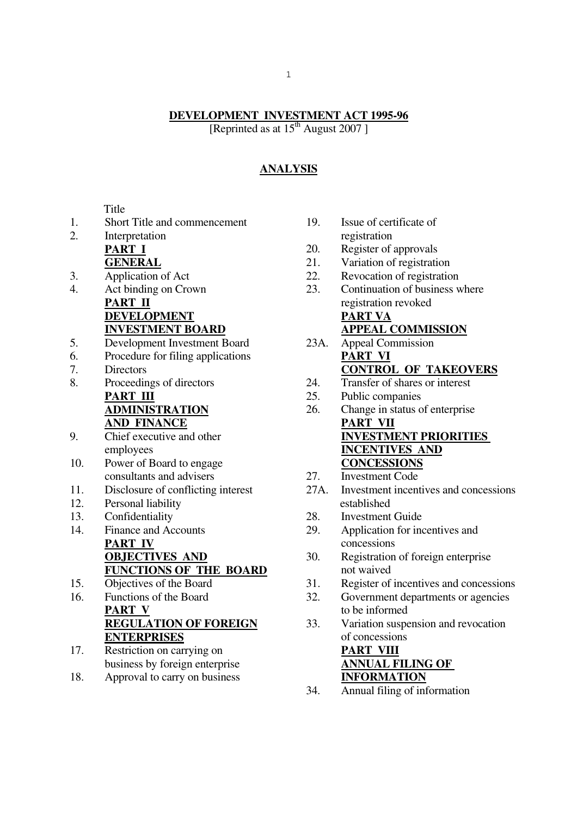### **DEVELOPMENT INVESTMENT ACT 1995-96**

[Reprinted as at  $15<sup>th</sup>$  August 2007]

# **ANALYSIS**

**Title** 

- 1. Short Title and commencement
- 2. Interpretation **PART I GENERAL**
- 3. Application of Act
- 4. Act binding on Crown **PART II DEVELOPMENT INVESTMENT BOARD**
- 5. Development Investment Board
- 6. Procedure for filing applications
- 7. Directors
- 8. Proceedings of directors **PART III ADMINISTRATION**

# **AND FINANCE**

- 9. Chief executive and other employees
- 10. Power of Board to engage consultants and advisers
- 11. Disclosure of conflicting interest
- 12. Personal liability
- 13. Confidentiality
- 14. Finance and Accounts **PART IV OBJECTIVES AND FUNCTIONS OF THE BOARD**
- 15. Objectives of the Board
- 16. Functions of the Board **PART V REGULATION OF FOREIGN ENTERPRISES**
- 17. Restriction on carrying on business by foreign enterprise
- 18. Approval to carry on business
- 19. Issue of certificate of registration
- 20. Register of approvals
- 21. Variation of registration
- 22. Revocation of registration
- 23. Continuation of business where registration revoked **PART VA APPEAL COMMISSION**
- 23A. Appeal Commission **PART VI CONTROL OF TAKEOVERS**
- 24. Transfer of shares or interest
- 25. Public companies
- 26. Change in status of enterprise **PART VII INVESTMENT PRIORITIES INCENTIVES AND CONCESSIONS**
- 27. Investment Code
- 27A. Investment incentives and concessions established
- 28. Investment Guide
- 29. Application for incentives and concessions
- 30. Registration of foreign enterprise not waived
- 31. Register of incentives and concessions
- 32. Government departments or agencies to be informed
- 33. Variation suspension and revocation of concessions **PART VIII ANNUAL FILING OF INFORMATION**
- 34. Annual filing of information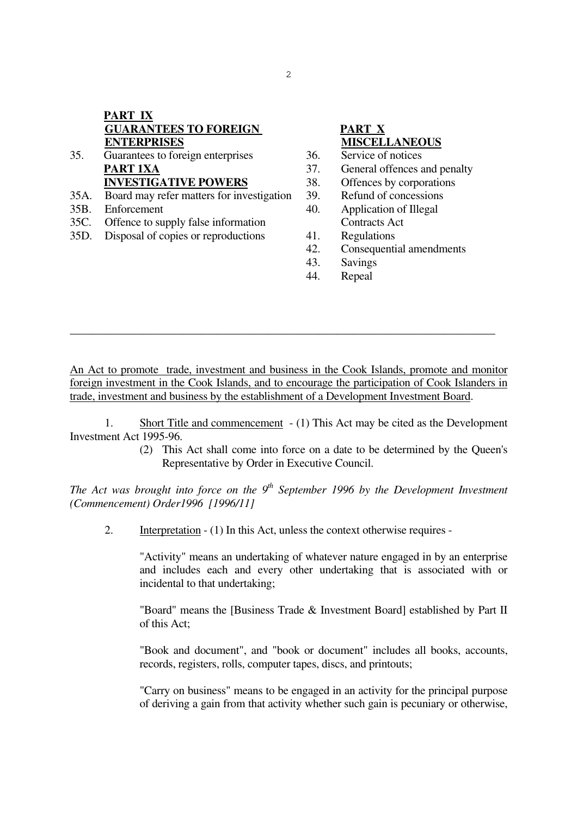# **PART IX GUARANTEES TO FOREIGN ENTERPRISES**

- 35. Guarantees to foreign enterprises **PART 1XA INVESTIGATIVE POWERS**
- 35A. Board may refer matters for investigation
- 35B. Enforcement
- 35C. Offence to supply false information
- 35D. Disposal of copies or reproductions

# **PART X MISCELLANEOUS**

- 36. Service of notices
- 37. General offences and penalty
- 38. Offences by corporations
- 39. Refund of concessions
- 40. Application of Illegal Contracts Act
- 41. Regulations
- 42. Consequential amendments
- 43. Savings
- 44. Repeal

An Act to promote trade, investment and business in the Cook Islands, promote and monitor foreign investment in the Cook Islands, and to encourage the participation of Cook Islanders in trade, investment and business by the establishment of a Development Investment Board.

\_\_\_\_\_\_\_\_\_\_\_\_\_\_\_\_\_\_\_\_\_\_\_\_\_\_\_\_\_\_\_\_\_\_\_\_\_\_\_\_\_\_\_\_\_\_\_\_\_\_\_\_\_\_\_\_\_\_\_\_\_\_\_\_\_\_\_\_\_\_\_\_\_\_\_

 1. Short Title and commencement - (1) This Act may be cited as the Development Investment Act 1995-96.

> (2) This Act shall come into force on a date to be determined by the Queen's Representative by Order in Executive Council.

*The Act was brought into force on the 9th September 1996 by the Development Investment (Commencement) Order1996 [1996/11]* 

2. Interpretation - (1) In this Act, unless the context otherwise requires -

 "Activity" means an undertaking of whatever nature engaged in by an enterprise and includes each and every other undertaking that is associated with or incidental to that undertaking;

 "Board" means the [Business Trade & Investment Board] established by Part II of this Act;

 "Book and document", and "book or document" includes all books, accounts, records, registers, rolls, computer tapes, discs, and printouts;

 "Carry on business" means to be engaged in an activity for the principal purpose of deriving a gain from that activity whether such gain is pecuniary or otherwise,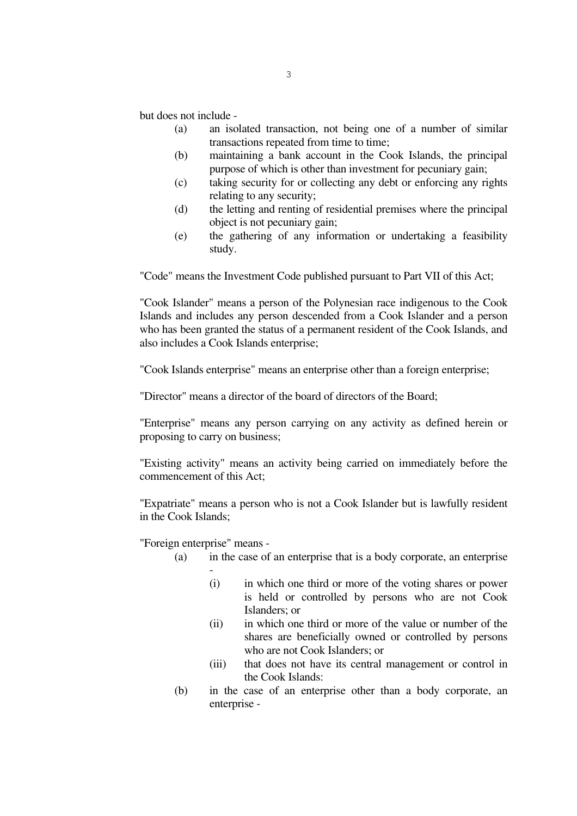but does not include -

- (a) an isolated transaction, not being one of a number of similar transactions repeated from time to time;
- (b) maintaining a bank account in the Cook Islands, the principal purpose of which is other than investment for pecuniary gain;
- (c) taking security for or collecting any debt or enforcing any rights relating to any security;
- (d) the letting and renting of residential premises where the principal object is not pecuniary gain;
- (e) the gathering of any information or undertaking a feasibility study.

"Code" means the Investment Code published pursuant to Part VII of this Act;

 "Cook Islander" means a person of the Polynesian race indigenous to the Cook Islands and includes any person descended from a Cook Islander and a person who has been granted the status of a permanent resident of the Cook Islands, and also includes a Cook Islands enterprise;

"Cook Islands enterprise" means an enterprise other than a foreign enterprise;

"Director" means a director of the board of directors of the Board;

 "Enterprise" means any person carrying on any activity as defined herein or proposing to carry on business;

 "Existing activity" means an activity being carried on immediately before the commencement of this Act;

 "Expatriate" means a person who is not a Cook Islander but is lawfully resident in the Cook Islands;

"Foreign enterprise" means -

- (a) in the case of an enterprise that is a body corporate, an enterprise -
	- (i) in which one third or more of the voting shares or power is held or controlled by persons who are not Cook Islanders; or
	- (ii) in which one third or more of the value or number of the shares are beneficially owned or controlled by persons who are not Cook Islanders; or
	- (iii) that does not have its central management or control in the Cook Islands:
- (b) in the case of an enterprise other than a body corporate, an enterprise -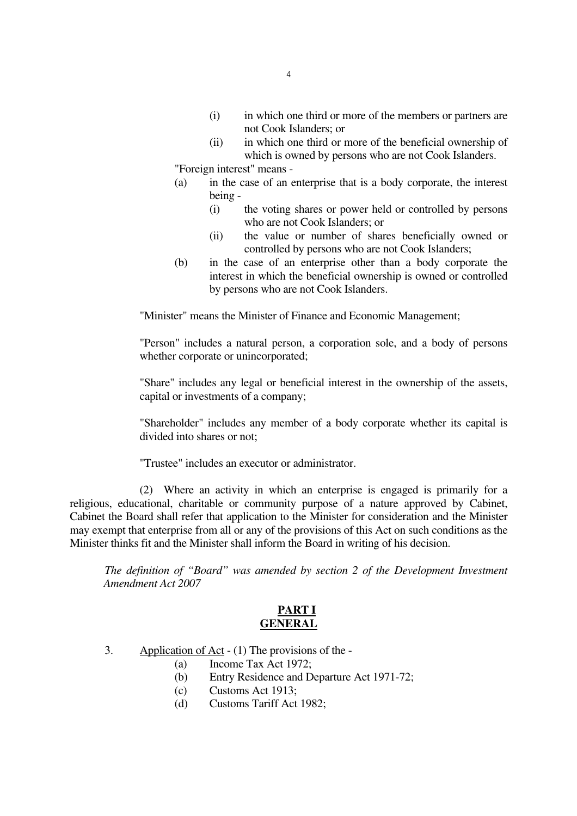- (i) in which one third or more of the members or partners are not Cook Islanders; or
- (ii) in which one third or more of the beneficial ownership of which is owned by persons who are not Cook Islanders.

"Foreign interest" means -

- (a) in the case of an enterprise that is a body corporate, the interest being -
	- (i) the voting shares or power held or controlled by persons who are not Cook Islanders; or
	- (ii) the value or number of shares beneficially owned or controlled by persons who are not Cook Islanders;
- (b) in the case of an enterprise other than a body corporate the interest in which the beneficial ownership is owned or controlled by persons who are not Cook Islanders.

"Minister" means the Minister of Finance and Economic Management;

 "Person" includes a natural person, a corporation sole, and a body of persons whether corporate or unincorporated:

 "Share" includes any legal or beneficial interest in the ownership of the assets, capital or investments of a company;

 "Shareholder" includes any member of a body corporate whether its capital is divided into shares or not;

"Trustee" includes an executor or administrator.

 (2) Where an activity in which an enterprise is engaged is primarily for a religious, educational, charitable or community purpose of a nature approved by Cabinet, Cabinet the Board shall refer that application to the Minister for consideration and the Minister may exempt that enterprise from all or any of the provisions of this Act on such conditions as the Minister thinks fit and the Minister shall inform the Board in writing of his decision.

 *The definition of "Board" was amended by section 2 of the Development Investment Amendment Act 2007* 

### **PART I GENERAL**

- 3. Application of Act (1) The provisions of the
	- (a) Income Tax Act 1972;
	- (b) Entry Residence and Departure Act 1971-72;
	- (c) Customs Act 1913;
	- (d) Customs Tariff Act 1982;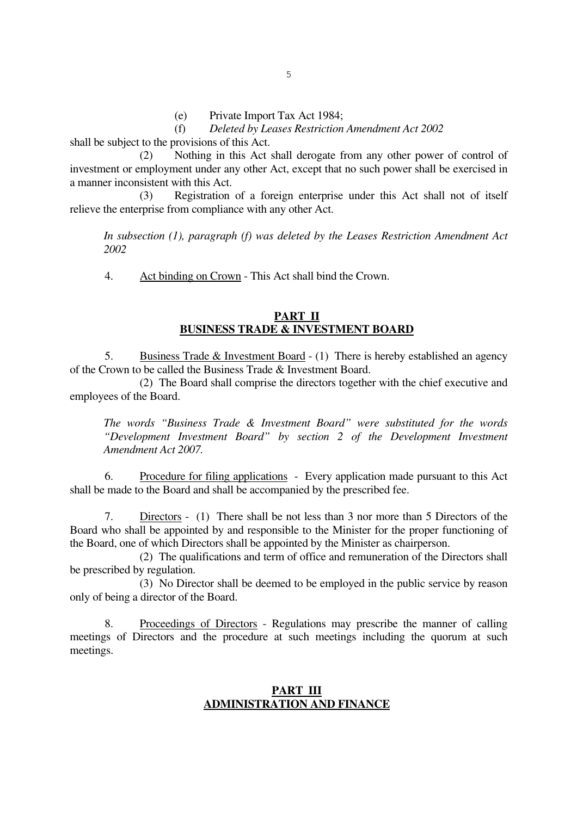(f) *Deleted by Leases Restriction Amendment Act 2002*

shall be subject to the provisions of this Act.

 (2) Nothing in this Act shall derogate from any other power of control of investment or employment under any other Act, except that no such power shall be exercised in a manner inconsistent with this Act.

 (3) Registration of a foreign enterprise under this Act shall not of itself relieve the enterprise from compliance with any other Act.

*In subsection (1), paragraph (f) was deleted by the Leases Restriction Amendment Act 2002* 

4. Act binding on Crown - This Act shall bind the Crown.

### **PART II BUSINESS TRADE & INVESTMENT BOARD**

 5. Business Trade & Investment Board - (1) There is hereby established an agency of the Crown to be called the Business Trade & Investment Board.

 (2) The Board shall comprise the directors together with the chief executive and employees of the Board.

*The words "Business Trade & Investment Board" were substituted for the words "Development Investment Board" by section 2 of the Development Investment Amendment Act 2007.* 

 6. Procedure for filing applications - Every application made pursuant to this Act shall be made to the Board and shall be accompanied by the prescribed fee.

 7. Directors - (1) There shall be not less than 3 nor more than 5 Directors of the Board who shall be appointed by and responsible to the Minister for the proper functioning of the Board, one of which Directors shall be appointed by the Minister as chairperson.

 (2) The qualifications and term of office and remuneration of the Directors shall be prescribed by regulation.

 (3) No Director shall be deemed to be employed in the public service by reason only of being a director of the Board.

 8. Proceedings of Directors - Regulations may prescribe the manner of calling meetings of Directors and the procedure at such meetings including the quorum at such meetings.

### **PART III ADMINISTRATION AND FINANCE**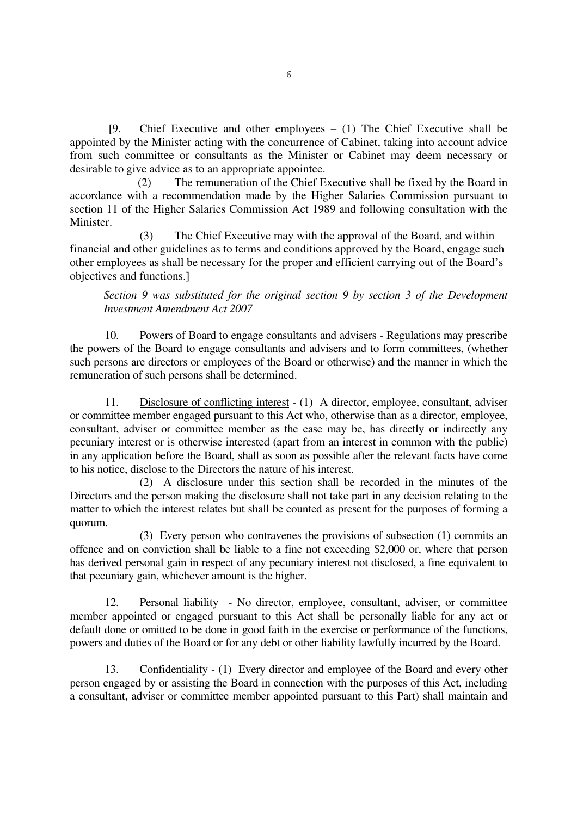[9. Chief Executive and other employees  $- (1)$  The Chief Executive shall be appointed by the Minister acting with the concurrence of Cabinet, taking into account advice from such committee or consultants as the Minister or Cabinet may deem necessary or desirable to give advice as to an appropriate appointee.

(2) The remuneration of the Chief Executive shall be fixed by the Board in accordance with a recommendation made by the Higher Salaries Commission pursuant to section 11 of the Higher Salaries Commission Act 1989 and following consultation with the Minister.

The Chief Executive may with the approval of the Board, and within financial and other guidelines as to terms and conditions approved by the Board, engage such other employees as shall be necessary for the proper and efficient carrying out of the Board's objectives and functions.]

*Section 9 was substituted for the original section 9 by section 3 of the Development Investment Amendment Act 2007* 

 10. Powers of Board to engage consultants and advisers - Regulations may prescribe the powers of the Board to engage consultants and advisers and to form committees, (whether such persons are directors or employees of the Board or otherwise) and the manner in which the remuneration of such persons shall be determined.

 11. Disclosure of conflicting interest - (1) A director, employee, consultant, adviser or committee member engaged pursuant to this Act who, otherwise than as a director, employee, consultant, adviser or committee member as the case may be, has directly or indirectly any pecuniary interest or is otherwise interested (apart from an interest in common with the public) in any application before the Board, shall as soon as possible after the relevant facts have come to his notice, disclose to the Directors the nature of his interest.

 (2) A disclosure under this section shall be recorded in the minutes of the Directors and the person making the disclosure shall not take part in any decision relating to the matter to which the interest relates but shall be counted as present for the purposes of forming a quorum.

 (3) Every person who contravenes the provisions of subsection (1) commits an offence and on conviction shall be liable to a fine not exceeding \$2,000 or, where that person has derived personal gain in respect of any pecuniary interest not disclosed, a fine equivalent to that pecuniary gain, whichever amount is the higher.

 12. Personal liability - No director, employee, consultant, adviser, or committee member appointed or engaged pursuant to this Act shall be personally liable for any act or default done or omitted to be done in good faith in the exercise or performance of the functions, powers and duties of the Board or for any debt or other liability lawfully incurred by the Board.

 13. Confidentiality - (1) Every director and employee of the Board and every other person engaged by or assisting the Board in connection with the purposes of this Act, including a consultant, adviser or committee member appointed pursuant to this Part) shall maintain and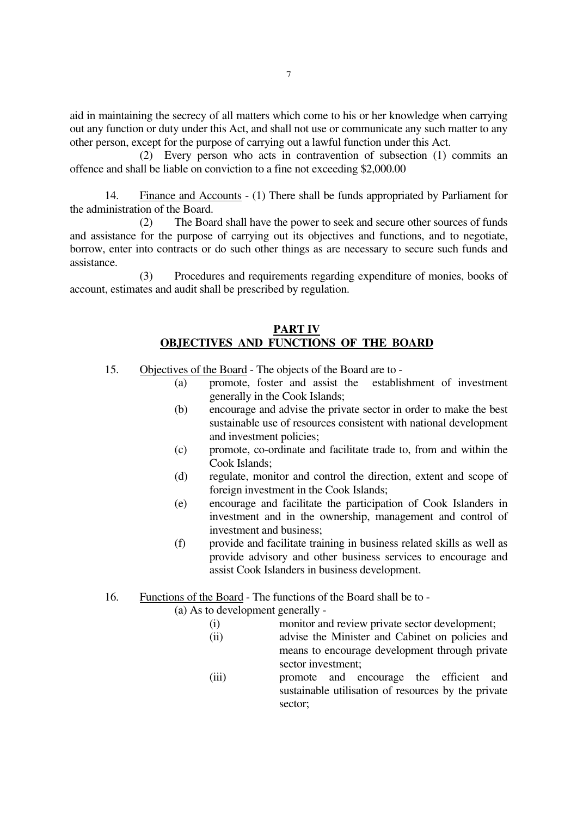aid in maintaining the secrecy of all matters which come to his or her knowledge when carrying out any function or duty under this Act, and shall not use or communicate any such matter to any other person, except for the purpose of carrying out a lawful function under this Act.

 (2) Every person who acts in contravention of subsection (1) commits an offence and shall be liable on conviction to a fine not exceeding \$2,000.00

 14. Finance and Accounts - (1) There shall be funds appropriated by Parliament for the administration of the Board.

 (2) The Board shall have the power to seek and secure other sources of funds and assistance for the purpose of carrying out its objectives and functions, and to negotiate, borrow, enter into contracts or do such other things as are necessary to secure such funds and assistance.

 (3) Procedures and requirements regarding expenditure of monies, books of account, estimates and audit shall be prescribed by regulation.

### **PART IV OBJECTIVES AND FUNCTIONS OF THE BOARD**

- 15. Objectives of the Board The objects of the Board are to
	- (a) promote, foster and assist the establishment of investment generally in the Cook Islands;
	- (b) encourage and advise the private sector in order to make the best sustainable use of resources consistent with national development and investment policies;
	- (c) promote, co-ordinate and facilitate trade to, from and within the Cook Islands;
	- (d) regulate, monitor and control the direction, extent and scope of foreign investment in the Cook Islands;
	- (e) encourage and facilitate the participation of Cook Islanders in investment and in the ownership, management and control of investment and business;
	- (f) provide and facilitate training in business related skills as well as provide advisory and other business services to encourage and assist Cook Islanders in business development.
- 16. Functions of the Board The functions of the Board shall be to -

(a) As to development generally -

- (i) monitor and review private sector development;
- (ii) advise the Minister and Cabinet on policies and means to encourage development through private sector investment;
- (iii) promote and encourage the efficient and sustainable utilisation of resources by the private sector;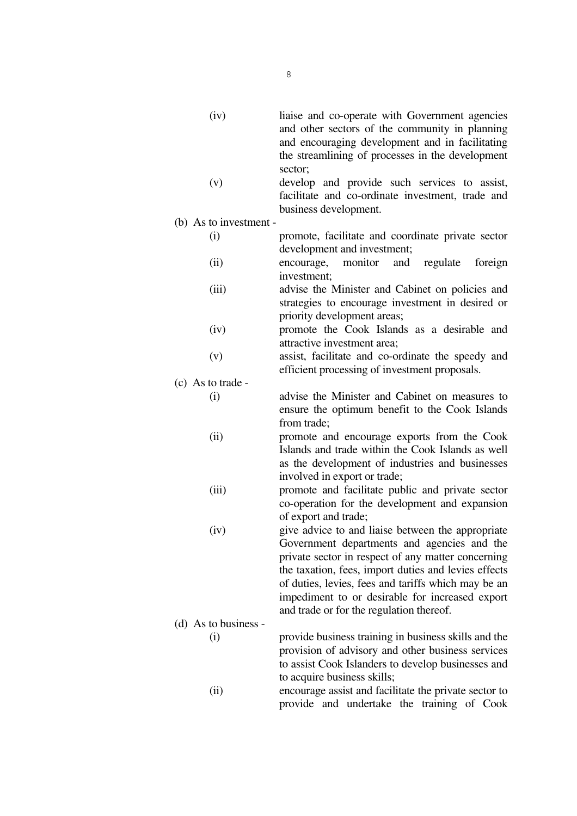| (iv) | liaise and co-operate with Government agencies<br>and other sectors of the community in planning<br>and encouraging development and in facilitating<br>the streamlining of processes in the development |
|------|---------------------------------------------------------------------------------------------------------------------------------------------------------------------------------------------------------|
|      | sector;                                                                                                                                                                                                 |

 (v) develop and provide such services to assist, facilitate and co-ordinate investment, trade and business development.

(b) As to investment -

- (i) promote, facilitate and coordinate private sector development and investment;
- (ii) encourage, monitor and regulate foreign investment;
- (iii) advise the Minister and Cabinet on policies and strategies to encourage investment in desired or priority development areas;
- (iv) promote the Cook Islands as a desirable and attractive investment area;
- (v) assist, facilitate and co-ordinate the speedy and efficient processing of investment proposals.

# (c) As to trade -

- (i) advise the Minister and Cabinet on measures to ensure the optimum benefit to the Cook Islands from trade;
- (ii) promote and encourage exports from the Cook Islands and trade within the Cook Islands as well as the development of industries and businesses involved in export or trade;
- (iii) promote and facilitate public and private sector co-operation for the development and expansion of export and trade;
- (iv) give advice to and liaise between the appropriate Government departments and agencies and the private sector in respect of any matter concerning the taxation, fees, import duties and levies effects of duties, levies, fees and tariffs which may be an impediment to or desirable for increased export and trade or for the regulation thereof.

provide and undertake the training of Cook

 (d) As to business - (i) provide business training in business skills and the provision of advisory and other business services to assist Cook Islanders to develop businesses and to acquire business skills; (ii) encourage assist and facilitate the private sector to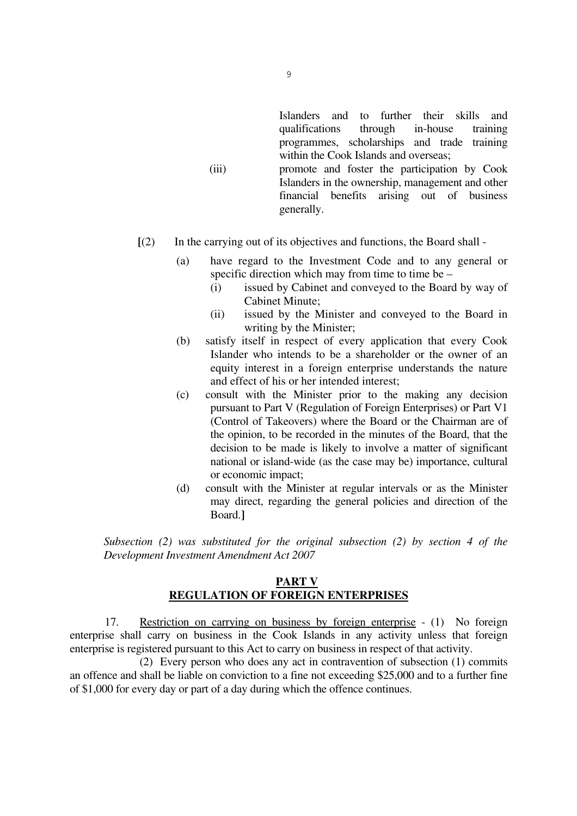Islanders and to further their skills and qualifications through in-house training programmes, scholarships and trade training within the Cook Islands and overseas;

- (iii) promote and foster the participation by Cook Islanders in the ownership, management and other financial benefits arising out of business generally.
- **[**(2) In the carrying out of its objectives and functions, the Board shall
	- (a) have regard to the Investment Code and to any general or specific direction which may from time to time be –
		- (i) issued by Cabinet and conveyed to the Board by way of Cabinet Minute;
		- (ii) issued by the Minister and conveyed to the Board in writing by the Minister;
	- (b) satisfy itself in respect of every application that every Cook Islander who intends to be a shareholder or the owner of an equity interest in a foreign enterprise understands the nature and effect of his or her intended interest;
	- (c) consult with the Minister prior to the making any decision pursuant to Part V (Regulation of Foreign Enterprises) or Part V1 (Control of Takeovers) where the Board or the Chairman are of the opinion, to be recorded in the minutes of the Board, that the decision to be made is likely to involve a matter of significant national or island-wide (as the case may be) importance, cultural or economic impact;
	- (d) consult with the Minister at regular intervals or as the Minister may direct, regarding the general policies and direction of the Board.**]**

*Subsection (2) was substituted for the original subsection (2) by section 4 of the Development Investment Amendment Act 2007* 

## **PART V REGULATION OF FOREIGN ENTERPRISES**

 17. Restriction on carrying on business by foreign enterprise - (1) No foreign enterprise shall carry on business in the Cook Islands in any activity unless that foreign enterprise is registered pursuant to this Act to carry on business in respect of that activity.

 (2) Every person who does any act in contravention of subsection (1) commits an offence and shall be liable on conviction to a fine not exceeding \$25,000 and to a further fine of \$1,000 for every day or part of a day during which the offence continues.

9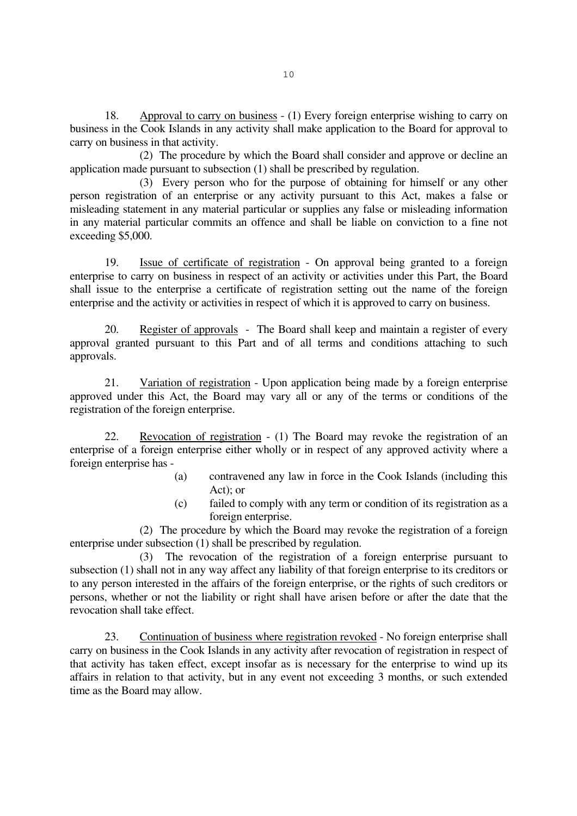18. Approval to carry on business - (1) Every foreign enterprise wishing to carry on business in the Cook Islands in any activity shall make application to the Board for approval to carry on business in that activity.

 (2) The procedure by which the Board shall consider and approve or decline an application made pursuant to subsection (1) shall be prescribed by regulation.

 (3) Every person who for the purpose of obtaining for himself or any other person registration of an enterprise or any activity pursuant to this Act, makes a false or misleading statement in any material particular or supplies any false or misleading information in any material particular commits an offence and shall be liable on conviction to a fine not exceeding \$5,000.

 19. Issue of certificate of registration - On approval being granted to a foreign enterprise to carry on business in respect of an activity or activities under this Part, the Board shall issue to the enterprise a certificate of registration setting out the name of the foreign enterprise and the activity or activities in respect of which it is approved to carry on business.

20. Register of approvals - The Board shall keep and maintain a register of every approval granted pursuant to this Part and of all terms and conditions attaching to such approvals.

 21. Variation of registration - Upon application being made by a foreign enterprise approved under this Act, the Board may vary all or any of the terms or conditions of the registration of the foreign enterprise.

 22. Revocation of registration - (1) The Board may revoke the registration of an enterprise of a foreign enterprise either wholly or in respect of any approved activity where a foreign enterprise has -

- (a) contravened any law in force in the Cook Islands (including this Act); or
- (c) failed to comply with any term or condition of its registration as a foreign enterprise.

 (2) The procedure by which the Board may revoke the registration of a foreign enterprise under subsection (1) shall be prescribed by regulation.

 (3) The revocation of the registration of a foreign enterprise pursuant to subsection (1) shall not in any way affect any liability of that foreign enterprise to its creditors or to any person interested in the affairs of the foreign enterprise, or the rights of such creditors or persons, whether or not the liability or right shall have arisen before or after the date that the revocation shall take effect.

 23. Continuation of business where registration revoked - No foreign enterprise shall carry on business in the Cook Islands in any activity after revocation of registration in respect of that activity has taken effect, except insofar as is necessary for the enterprise to wind up its affairs in relation to that activity, but in any event not exceeding 3 months, or such extended time as the Board may allow.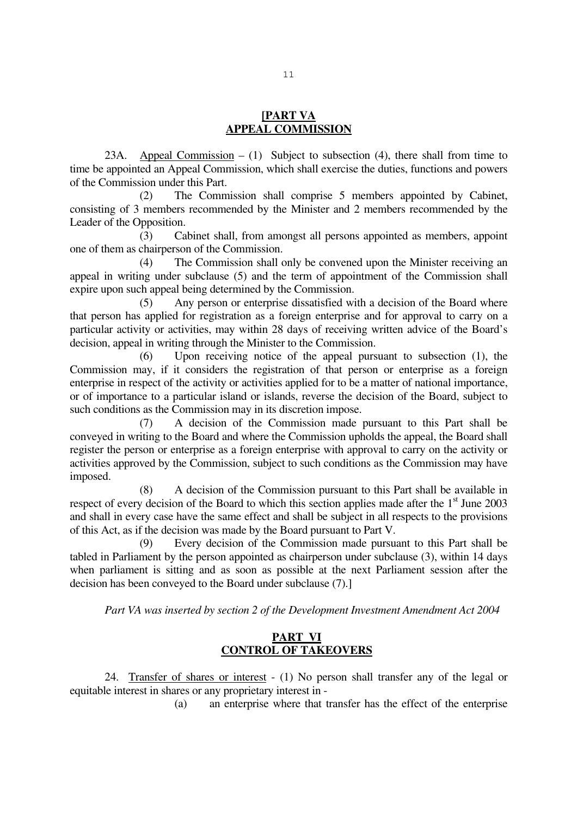### **[PART VA APPEAL COMMISSION**

23A. Appeal Commission  $- (1)$  Subject to subsection (4), there shall from time to time be appointed an Appeal Commission, which shall exercise the duties, functions and powers of the Commission under this Part.

(2) The Commission shall comprise 5 members appointed by Cabinet, consisting of 3 members recommended by the Minister and 2 members recommended by the Leader of the Opposition.

(3) Cabinet shall, from amongst all persons appointed as members, appoint one of them as chairperson of the Commission.

(4) The Commission shall only be convened upon the Minister receiving an appeal in writing under subclause (5) and the term of appointment of the Commission shall expire upon such appeal being determined by the Commission.

(5) Any person or enterprise dissatisfied with a decision of the Board where that person has applied for registration as a foreign enterprise and for approval to carry on a particular activity or activities, may within 28 days of receiving written advice of the Board's decision, appeal in writing through the Minister to the Commission.

(6) Upon receiving notice of the appeal pursuant to subsection (1), the Commission may, if it considers the registration of that person or enterprise as a foreign enterprise in respect of the activity or activities applied for to be a matter of national importance, or of importance to a particular island or islands, reverse the decision of the Board, subject to such conditions as the Commission may in its discretion impose.

(7) A decision of the Commission made pursuant to this Part shall be conveyed in writing to the Board and where the Commission upholds the appeal, the Board shall register the person or enterprise as a foreign enterprise with approval to carry on the activity or activities approved by the Commission, subject to such conditions as the Commission may have imposed.

(8) A decision of the Commission pursuant to this Part shall be available in respect of every decision of the Board to which this section applies made after the  $1<sup>st</sup>$  June 2003 and shall in every case have the same effect and shall be subject in all respects to the provisions of this Act, as if the decision was made by the Board pursuant to Part V.

(9) Every decision of the Commission made pursuant to this Part shall be tabled in Parliament by the person appointed as chairperson under subclause (3), within 14 days when parliament is sitting and as soon as possible at the next Parliament session after the decision has been conveyed to the Board under subclause (7).]

 *Part VA was inserted by section 2 of the Development Investment Amendment Act 2004* 

## **PART VI CONTROL OF TAKEOVERS**

 24. Transfer of shares or interest - (1) No person shall transfer any of the legal or equitable interest in shares or any proprietary interest in -

(a) an enterprise where that transfer has the effect of the enterprise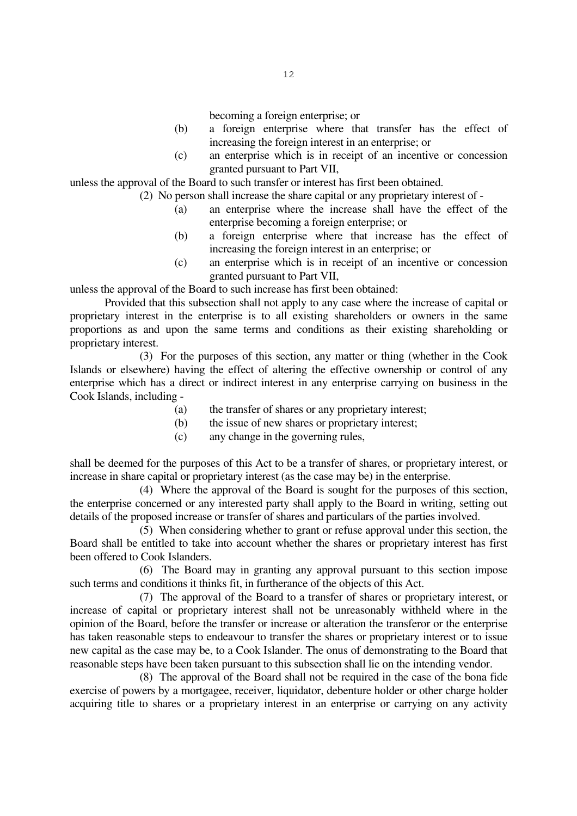becoming a foreign enterprise; or

- (b) a foreign enterprise where that transfer has the effect of increasing the foreign interest in an enterprise; or
- (c) an enterprise which is in receipt of an incentive or concession granted pursuant to Part VII,

unless the approval of the Board to such transfer or interest has first been obtained.

(2) No person shall increase the share capital or any proprietary interest of -

- (a) an enterprise where the increase shall have the effect of the enterprise becoming a foreign enterprise; or
- (b) a foreign enterprise where that increase has the effect of increasing the foreign interest in an enterprise; or
- (c) an enterprise which is in receipt of an incentive or concession granted pursuant to Part VII,

unless the approval of the Board to such increase has first been obtained:

 Provided that this subsection shall not apply to any case where the increase of capital or proprietary interest in the enterprise is to all existing shareholders or owners in the same proportions as and upon the same terms and conditions as their existing shareholding or proprietary interest.

 (3) For the purposes of this section, any matter or thing (whether in the Cook Islands or elsewhere) having the effect of altering the effective ownership or control of any enterprise which has a direct or indirect interest in any enterprise carrying on business in the Cook Islands, including -

- (a) the transfer of shares or any proprietary interest;
- (b) the issue of new shares or proprietary interest;
- (c) any change in the governing rules,

shall be deemed for the purposes of this Act to be a transfer of shares, or proprietary interest, or increase in share capital or proprietary interest (as the case may be) in the enterprise.

 (4) Where the approval of the Board is sought for the purposes of this section, the enterprise concerned or any interested party shall apply to the Board in writing, setting out details of the proposed increase or transfer of shares and particulars of the parties involved.

 (5) When considering whether to grant or refuse approval under this section, the Board shall be entitled to take into account whether the shares or proprietary interest has first been offered to Cook Islanders.

 (6) The Board may in granting any approval pursuant to this section impose such terms and conditions it thinks fit, in furtherance of the objects of this Act.

 (7) The approval of the Board to a transfer of shares or proprietary interest, or increase of capital or proprietary interest shall not be unreasonably withheld where in the opinion of the Board, before the transfer or increase or alteration the transferor or the enterprise has taken reasonable steps to endeavour to transfer the shares or proprietary interest or to issue new capital as the case may be, to a Cook Islander. The onus of demonstrating to the Board that reasonable steps have been taken pursuant to this subsection shall lie on the intending vendor.

 (8) The approval of the Board shall not be required in the case of the bona fide exercise of powers by a mortgagee, receiver, liquidator, debenture holder or other charge holder acquiring title to shares or a proprietary interest in an enterprise or carrying on any activity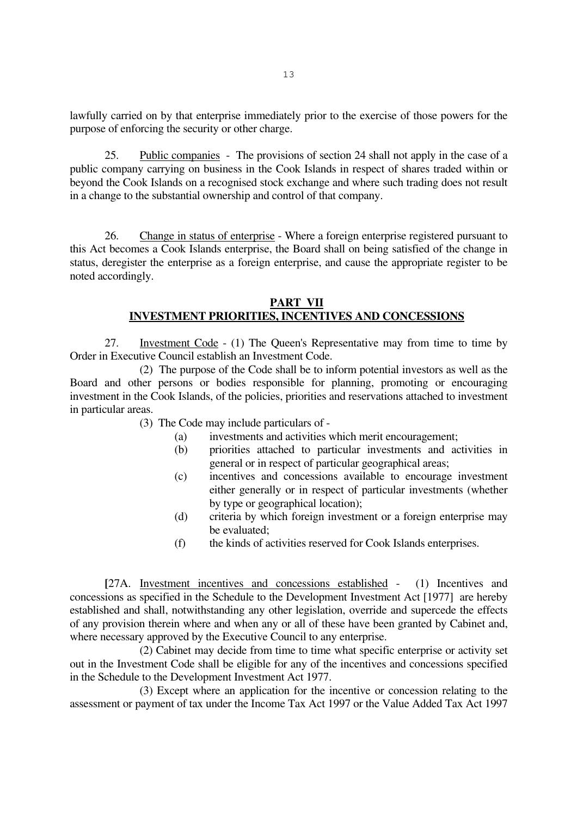lawfully carried on by that enterprise immediately prior to the exercise of those powers for the purpose of enforcing the security or other charge.

 25. Public companies - The provisions of section 24 shall not apply in the case of a public company carrying on business in the Cook Islands in respect of shares traded within or beyond the Cook Islands on a recognised stock exchange and where such trading does not result in a change to the substantial ownership and control of that company.

 26. Change in status of enterprise - Where a foreign enterprise registered pursuant to this Act becomes a Cook Islands enterprise, the Board shall on being satisfied of the change in status, deregister the enterprise as a foreign enterprise, and cause the appropriate register to be noted accordingly.

## **PART VII INVESTMENT PRIORITIES, INCENTIVES AND CONCESSIONS**

27. Investment Code - (1) The Queen's Representative may from time to time by Order in Executive Council establish an Investment Code.

 (2) The purpose of the Code shall be to inform potential investors as well as the Board and other persons or bodies responsible for planning, promoting or encouraging investment in the Cook Islands, of the policies, priorities and reservations attached to investment in particular areas.

(3) The Code may include particulars of -

- (a) investments and activities which merit encouragement;
- (b) priorities attached to particular investments and activities in general or in respect of particular geographical areas;
- (c) incentives and concessions available to encourage investment either generally or in respect of particular investments (whether by type or geographical location);
- (d) criteria by which foreign investment or a foreign enterprise may be evaluated;
- (f) the kinds of activities reserved for Cook Islands enterprises.

**[**27A. Investment incentives and concessions established - (1) Incentives and concessions as specified in the Schedule to the Development Investment Act [1977] are hereby established and shall, notwithstanding any other legislation, override and supercede the effects of any provision therein where and when any or all of these have been granted by Cabinet and, where necessary approved by the Executive Council to any enterprise.

 (2) Cabinet may decide from time to time what specific enterprise or activity set out in the Investment Code shall be eligible for any of the incentives and concessions specified in the Schedule to the Development Investment Act 1977.

 (3) Except where an application for the incentive or concession relating to the assessment or payment of tax under the Income Tax Act 1997 or the Value Added Tax Act 1997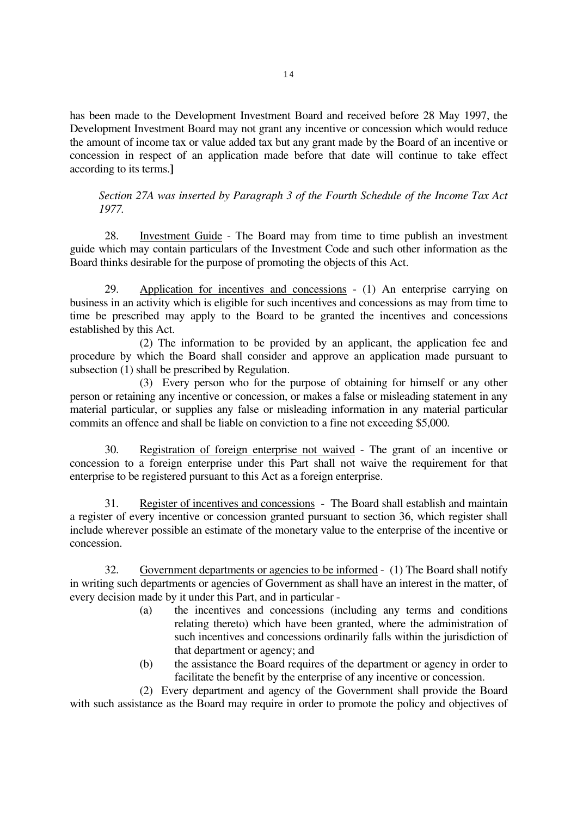has been made to the Development Investment Board and received before 28 May 1997, the Development Investment Board may not grant any incentive or concession which would reduce the amount of income tax or value added tax but any grant made by the Board of an incentive or concession in respect of an application made before that date will continue to take effect according to its terms.**]**

*Section 27A was inserted by Paragraph 3 of the Fourth Schedule of the Income Tax Act 1977.* 

 28. Investment Guide - The Board may from time to time publish an investment guide which may contain particulars of the Investment Code and such other information as the Board thinks desirable for the purpose of promoting the objects of this Act.

 29. Application for incentives and concessions - (1) An enterprise carrying on business in an activity which is eligible for such incentives and concessions as may from time to time be prescribed may apply to the Board to be granted the incentives and concessions established by this Act.

 (2) The information to be provided by an applicant, the application fee and procedure by which the Board shall consider and approve an application made pursuant to subsection (1) shall be prescribed by Regulation.

 (3) Every person who for the purpose of obtaining for himself or any other person or retaining any incentive or concession, or makes a false or misleading statement in any material particular, or supplies any false or misleading information in any material particular commits an offence and shall be liable on conviction to a fine not exceeding \$5,000.

 30. Registration of foreign enterprise not waived - The grant of an incentive or concession to a foreign enterprise under this Part shall not waive the requirement for that enterprise to be registered pursuant to this Act as a foreign enterprise.

 31. Register of incentives and concessions - The Board shall establish and maintain a register of every incentive or concession granted pursuant to section 36, which register shall include wherever possible an estimate of the monetary value to the enterprise of the incentive or concession.

 32. Government departments or agencies to be informed - (1) The Board shall notify in writing such departments or agencies of Government as shall have an interest in the matter, of every decision made by it under this Part, and in particular -

- (a) the incentives and concessions (including any terms and conditions relating thereto) which have been granted, where the administration of such incentives and concessions ordinarily falls within the jurisdiction of that department or agency; and
- (b) the assistance the Board requires of the department or agency in order to facilitate the benefit by the enterprise of any incentive or concession.

 (2) Every department and agency of the Government shall provide the Board with such assistance as the Board may require in order to promote the policy and objectives of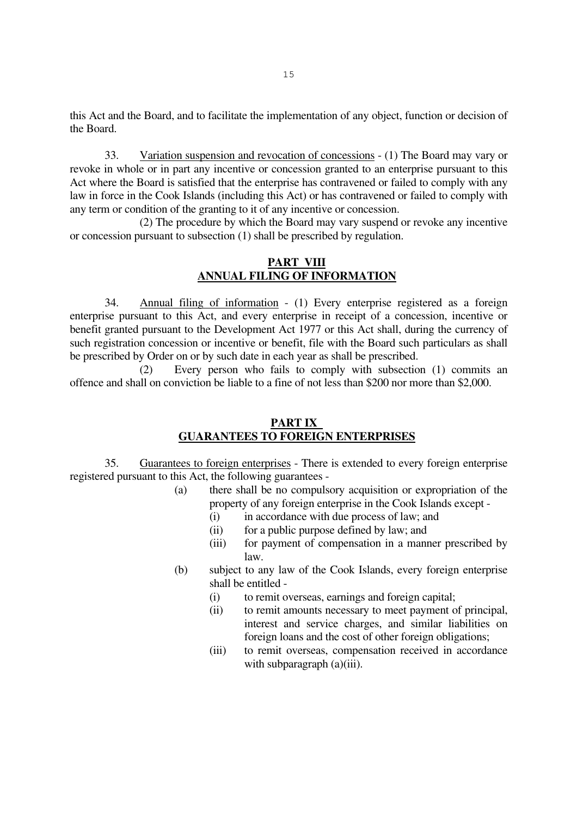this Act and the Board, and to facilitate the implementation of any object, function or decision of the Board.

 33. Variation suspension and revocation of concessions - (1) The Board may vary or revoke in whole or in part any incentive or concession granted to an enterprise pursuant to this Act where the Board is satisfied that the enterprise has contravened or failed to comply with any law in force in the Cook Islands (including this Act) or has contravened or failed to comply with any term or condition of the granting to it of any incentive or concession.

 (2) The procedure by which the Board may vary suspend or revoke any incentive or concession pursuant to subsection (1) shall be prescribed by regulation.

### **PART VIII ANNUAL FILING OF INFORMATION**

 34. Annual filing of information - (1) Every enterprise registered as a foreign enterprise pursuant to this Act, and every enterprise in receipt of a concession, incentive or benefit granted pursuant to the Development Act 1977 or this Act shall, during the currency of such registration concession or incentive or benefit, file with the Board such particulars as shall be prescribed by Order on or by such date in each year as shall be prescribed.

 (2) Every person who fails to comply with subsection (1) commits an offence and shall on conviction be liable to a fine of not less than \$200 nor more than \$2,000.

#### **PART IX GUARANTEES TO FOREIGN ENTERPRISES**

 35. Guarantees to foreign enterprises - There is extended to every foreign enterprise registered pursuant to this Act, the following guarantees -

- (a) there shall be no compulsory acquisition or expropriation of the property of any foreign enterprise in the Cook Islands except -
	- (i) in accordance with due process of law; and
	- (ii) for a public purpose defined by law; and
	- (iii) for payment of compensation in a manner prescribed by law.
- (b) subject to any law of the Cook Islands, every foreign enterprise shall be entitled -
	- (i) to remit overseas, earnings and foreign capital;
	- (ii) to remit amounts necessary to meet payment of principal, interest and service charges, and similar liabilities on foreign loans and the cost of other foreign obligations;
	- (iii) to remit overseas, compensation received in accordance with subparagraph (a)(iii).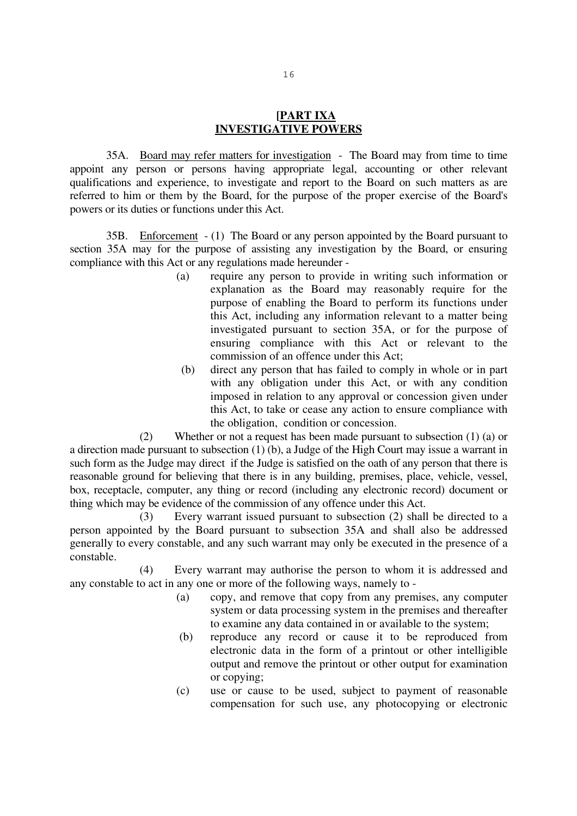### **[PART IXA INVESTIGATIVE POWERS**

35A. Board may refer matters for investigation - The Board may from time to time appoint any person or persons having appropriate legal, accounting or other relevant qualifications and experience, to investigate and report to the Board on such matters as are referred to him or them by the Board, for the purpose of the proper exercise of the Board's powers or its duties or functions under this Act.

35B. Enforcement - (1) The Board or any person appointed by the Board pursuant to section 35A may for the purpose of assisting any investigation by the Board, or ensuring compliance with this Act or any regulations made hereunder -

- (a) require any person to provide in writing such information or explanation as the Board may reasonably require for the purpose of enabling the Board to perform its functions under this Act, including any information relevant to a matter being investigated pursuant to section 35A, or for the purpose of ensuring compliance with this Act or relevant to the commission of an offence under this Act;
- (b) direct any person that has failed to comply in whole or in part with any obligation under this Act, or with any condition imposed in relation to any approval or concession given under this Act, to take or cease any action to ensure compliance with the obligation, condition or concession.

 (2) Whether or not a request has been made pursuant to subsection (1) (a) or a direction made pursuant to subsection (1) (b), a Judge of the High Court may issue a warrant in such form as the Judge may direct if the Judge is satisfied on the oath of any person that there is reasonable ground for believing that there is in any building, premises, place, vehicle, vessel, box, receptacle, computer, any thing or record (including any electronic record) document or thing which may be evidence of the commission of any offence under this Act.

 (3) Every warrant issued pursuant to subsection (2) shall be directed to a person appointed by the Board pursuant to subsection 35A and shall also be addressed generally to every constable, and any such warrant may only be executed in the presence of a constable.

 (4) Every warrant may authorise the person to whom it is addressed and any constable to act in any one or more of the following ways, namely to -

- (a) copy, and remove that copy from any premises, any computer system or data processing system in the premises and thereafter to examine any data contained in or available to the system;
- (b) reproduce any record or cause it to be reproduced from electronic data in the form of a printout or other intelligible output and remove the printout or other output for examination or copying;
- (c) use or cause to be used, subject to payment of reasonable compensation for such use, any photocopying or electronic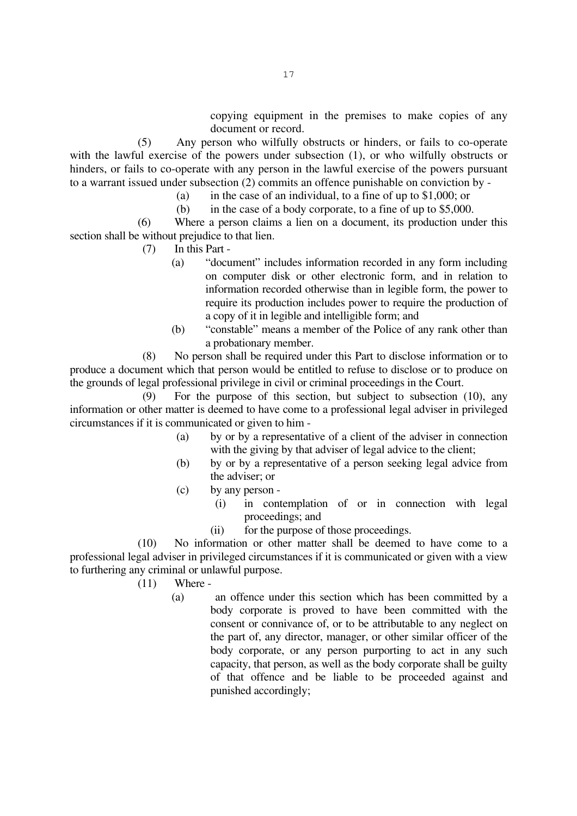(5) Any person who wilfully obstructs or hinders, or fails to co-operate with the lawful exercise of the powers under subsection (1), or who wilfully obstructs or hinders, or fails to co-operate with any person in the lawful exercise of the powers pursuant to a warrant issued under subsection (2) commits an offence punishable on conviction by -

- (a) in the case of an individual, to a fine of up to  $$1,000$ ; or
- (b) in the case of a body corporate, to a fine of up to \$5,000.

(6) Where a person claims a lien on a document, its production under this section shall be without prejudice to that lien.

- (7) In this Part
	- (a) "document" includes information recorded in any form including on computer disk or other electronic form, and in relation to information recorded otherwise than in legible form, the power to require its production includes power to require the production of a copy of it in legible and intelligible form; and
	- (b) "constable" means a member of the Police of any rank other than a probationary member.

(8) No person shall be required under this Part to disclose information or to produce a document which that person would be entitled to refuse to disclose or to produce on the grounds of legal professional privilege in civil or criminal proceedings in the Court.

(9) For the purpose of this section, but subject to subsection (10), any information or other matter is deemed to have come to a professional legal adviser in privileged circumstances if it is communicated or given to him -

- (a) by or by a representative of a client of the adviser in connection with the giving by that adviser of legal advice to the client;
- (b) by or by a representative of a person seeking legal advice from the adviser; or
- (c) by any person
	- (i) in contemplation of or in connection with legal proceedings; and
	- (ii) for the purpose of those proceedings.

(10) No information or other matter shall be deemed to have come to a professional legal adviser in privileged circumstances if it is communicated or given with a view to furthering any criminal or unlawful purpose.

- (11) Where
	- (a) an offence under this section which has been committed by a body corporate is proved to have been committed with the consent or connivance of, or to be attributable to any neglect on the part of, any director, manager, or other similar officer of the body corporate, or any person purporting to act in any such capacity, that person, as well as the body corporate shall be guilty of that offence and be liable to be proceeded against and punished accordingly;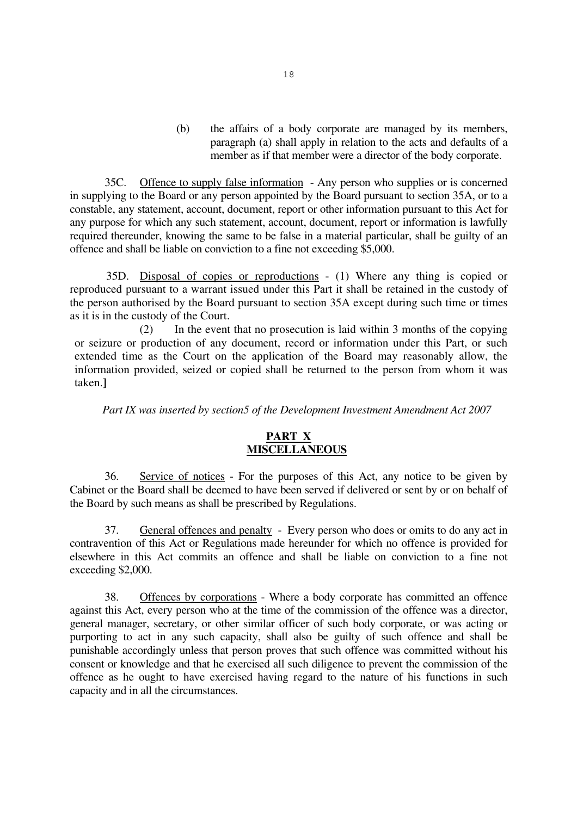(b) the affairs of a body corporate are managed by its members, paragraph (a) shall apply in relation to the acts and defaults of a member as if that member were a director of the body corporate.

 35C. Offence to supply false information - Any person who supplies or is concerned in supplying to the Board or any person appointed by the Board pursuant to section 35A, or to a constable, any statement, account, document, report or other information pursuant to this Act for any purpose for which any such statement, account, document, report or information is lawfully required thereunder, knowing the same to be false in a material particular, shall be guilty of an offence and shall be liable on conviction to a fine not exceeding \$5,000.

35D. Disposal of copies or reproductions - (1) Where any thing is copied or reproduced pursuant to a warrant issued under this Part it shall be retained in the custody of the person authorised by the Board pursuant to section 35A except during such time or times as it is in the custody of the Court.

 (2) In the event that no prosecution is laid within 3 months of the copying or seizure or production of any document, record or information under this Part, or such extended time as the Court on the application of the Board may reasonably allow, the information provided, seized or copied shall be returned to the person from whom it was taken.**]**

 *Part IX was inserted by section5 of the Development Investment Amendment Act 2007* 

### **PART X MISCELLANEOUS**

 36. Service of notices - For the purposes of this Act, any notice to be given by Cabinet or the Board shall be deemed to have been served if delivered or sent by or on behalf of the Board by such means as shall be prescribed by Regulations.

 37. General offences and penalty - Every person who does or omits to do any act in contravention of this Act or Regulations made hereunder for which no offence is provided for elsewhere in this Act commits an offence and shall be liable on conviction to a fine not exceeding \$2,000.

 38. Offences by corporations - Where a body corporate has committed an offence against this Act, every person who at the time of the commission of the offence was a director, general manager, secretary, or other similar officer of such body corporate, or was acting or purporting to act in any such capacity, shall also be guilty of such offence and shall be punishable accordingly unless that person proves that such offence was committed without his consent or knowledge and that he exercised all such diligence to prevent the commission of the offence as he ought to have exercised having regard to the nature of his functions in such capacity and in all the circumstances.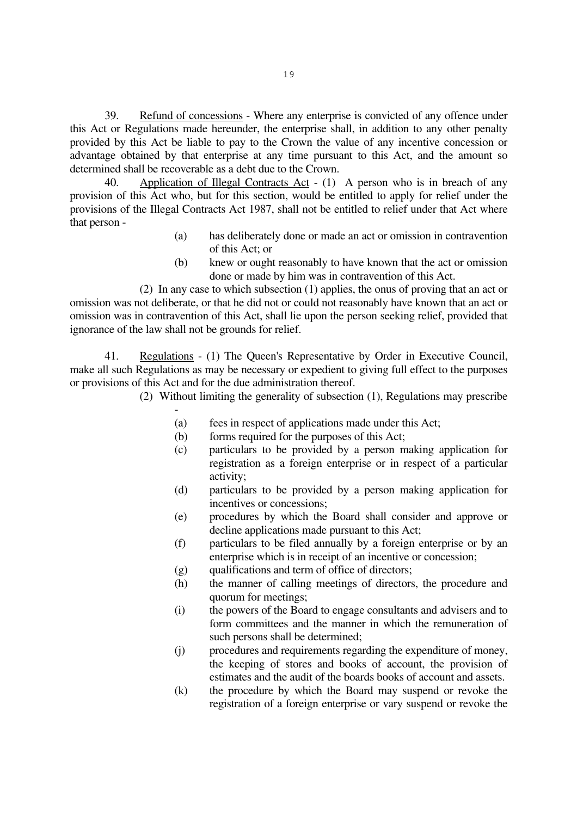39. Refund of concessions - Where any enterprise is convicted of any offence under this Act or Regulations made hereunder, the enterprise shall, in addition to any other penalty provided by this Act be liable to pay to the Crown the value of any incentive concession or advantage obtained by that enterprise at any time pursuant to this Act, and the amount so determined shall be recoverable as a debt due to the Crown.

 40. Application of Illegal Contracts Act - (1) A person who is in breach of any provision of this Act who, but for this section, would be entitled to apply for relief under the provisions of the Illegal Contracts Act 1987, shall not be entitled to relief under that Act where that person -

- (a) has deliberately done or made an act or omission in contravention of this Act; or
- (b) knew or ought reasonably to have known that the act or omission done or made by him was in contravention of this Act.

 (2) In any case to which subsection (1) applies, the onus of proving that an act or omission was not deliberate, or that he did not or could not reasonably have known that an act or omission was in contravention of this Act, shall lie upon the person seeking relief, provided that ignorance of the law shall not be grounds for relief.

 41. Regulations - (1) The Queen's Representative by Order in Executive Council, make all such Regulations as may be necessary or expedient to giving full effect to the purposes or provisions of this Act and for the due administration thereof.

(2) Without limiting the generality of subsection (1), Regulations may prescribe

- (a) fees in respect of applications made under this Act;
- (b) forms required for the purposes of this Act;
- (c) particulars to be provided by a person making application for registration as a foreign enterprise or in respect of a particular activity;
- (d) particulars to be provided by a person making application for incentives or concessions;
- (e) procedures by which the Board shall consider and approve or decline applications made pursuant to this Act;
- (f) particulars to be filed annually by a foreign enterprise or by an enterprise which is in receipt of an incentive or concession;
- (g) qualifications and term of office of directors;
- (h) the manner of calling meetings of directors, the procedure and quorum for meetings;
- (i) the powers of the Board to engage consultants and advisers and to form committees and the manner in which the remuneration of such persons shall be determined;
- (j) procedures and requirements regarding the expenditure of money, the keeping of stores and books of account, the provision of estimates and the audit of the boards books of account and assets.
- (k) the procedure by which the Board may suspend or revoke the registration of a foreign enterprise or vary suspend or revoke the